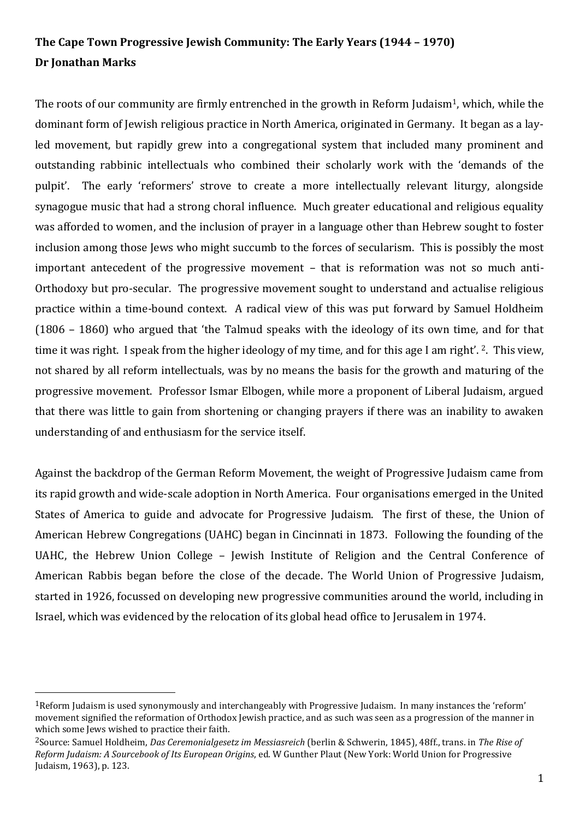## **The Cape Town Progressive Jewish Community: The Early Years (1944 – 1970) Dr Jonathan Marks**

The roots of our community are firmly entrenched in the growth in Reform Judaism<sup>1</sup>, which, while the dominant form of Jewish religious practice in North America, originated in Germany. It began as a layled movement, but rapidly grew into a congregational system that included many prominent and outstanding rabbinic intellectuals who combined their scholarly work with the 'demands of the pulpit'. The early 'reformers' strove to create a more intellectually relevant liturgy, alongside synagogue music that had a strong choral influence. Much greater educational and religious equality was afforded to women, and the inclusion of prayer in a language other than Hebrew sought to foster inclusion among those Jews who might succumb to the forces of secularism. This is possibly the most important antecedent of the progressive movement – that is reformation was not so much anti-Orthodoxy but pro-secular. The progressive movement sought to understand and actualise religious practice within a time-bound context. A radical view of this was put forward by Samuel Holdheim (1806 – 1860) who argued that 'the Talmud speaks with the ideology of its own time, and for that time it was right. I speak from the higher ideology of my time, and for this age I am right'. 2. This view, not shared by all reform intellectuals, was by no means the basis for the growth and maturing of the progressive movement. Professor Ismar Elbogen, while more a proponent of Liberal Judaism, argued that there was little to gain from shortening or changing prayers if there was an inability to awaken understanding of and enthusiasm for the service itself.

Against the backdrop of the German Reform Movement, the weight of Progressive Judaism came from its rapid growth and wide-scale adoption in North America. Four organisations emerged in the United States of America to guide and advocate for Progressive Judaism. The first of these, the Union of American Hebrew Congregations (UAHC) began in Cincinnati in 1873. Following the founding of the UAHC, the Hebrew Union College – Jewish Institute of Religion and the Central Conference of American Rabbis began before the close of the decade. The World Union of Progressive Judaism, started in 1926, focussed on developing new progressive communities around the world, including in Israel, which was evidenced by the relocation of its global head office to Jerusalem in 1974.

 $\overline{\phantom{a}}$ 

<sup>1</sup>Reform Judaism is used synonymously and interchangeably with Progressive Judaism. In many instances the 'reform' movement signified the reformation of Orthodox Jewish practice, and as such was seen as a progression of the manner in which some Jews wished to practice their faith.

<sup>2</sup>Source: Samuel Holdheim, *Das Ceremonialgesetz im Messiasreich* (berlin & Schwerin, 1845), 48ff., trans. in *The Rise of Reform Judaism: A Sourcebook of Its European Origins*, ed. W Gunther Plaut (New York: World Union for Progressive Judaism, 1963), p. 123.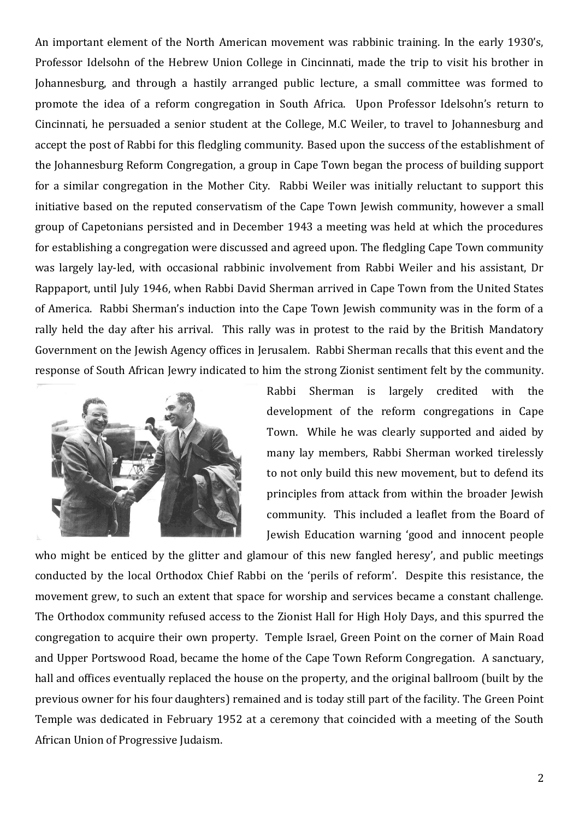An important element of the North American movement was rabbinic training. In the early 1930's, Professor Idelsohn of the Hebrew Union College in Cincinnati, made the trip to visit his brother in Johannesburg, and through a hastily arranged public lecture, a small committee was formed to promote the idea of a reform congregation in South Africa. Upon Professor Idelsohn's return to Cincinnati, he persuaded a senior student at the College, M.C Weiler, to travel to Johannesburg and accept the post of Rabbi for this fledgling community. Based upon the success of the establishment of the Johannesburg Reform Congregation, a group in Cape Town began the process of building support for a similar congregation in the Mother City. Rabbi Weiler was initially reluctant to support this initiative based on the reputed conservatism of the Cape Town Jewish community, however a small group of Capetonians persisted and in December 1943 a meeting was held at which the procedures for establishing a congregation were discussed and agreed upon. The fledgling Cape Town community was largely lay-led, with occasional rabbinic involvement from Rabbi Weiler and his assistant, Dr Rappaport, until July 1946, when Rabbi David Sherman arrived in Cape Town from the United States of America. Rabbi Sherman's induction into the Cape Town Jewish community was in the form of a rally held the day after his arrival. This rally was in protest to the raid by the British Mandatory Government on the Jewish Agency offices in Jerusalem. Rabbi Sherman recalls that this event and the response of South African Jewry indicated to him the strong Zionist sentiment felt by the community.



Rabbi Sherman is largely credited with the development of the reform congregations in Cape Town. While he was clearly supported and aided by many lay members, Rabbi Sherman worked tirelessly to not only build this new movement, but to defend its principles from attack from within the broader Jewish community. This included a leaflet from the Board of Jewish Education warning 'good and innocent people

who might be enticed by the glitter and glamour of this new fangled heresy', and public meetings conducted by the local Orthodox Chief Rabbi on the 'perils of reform'. Despite this resistance, the movement grew, to such an extent that space for worship and services became a constant challenge. The Orthodox community refused access to the Zionist Hall for High Holy Days, and this spurred the congregation to acquire their own property. Temple Israel, Green Point on the corner of Main Road and Upper Portswood Road, became the home of the Cape Town Reform Congregation. A sanctuary, hall and offices eventually replaced the house on the property, and the original ballroom (built by the previous owner for his four daughters) remained and is today still part of the facility. The Green Point Temple was dedicated in February 1952 at a ceremony that coincided with a meeting of the South African Union of Progressive Judaism.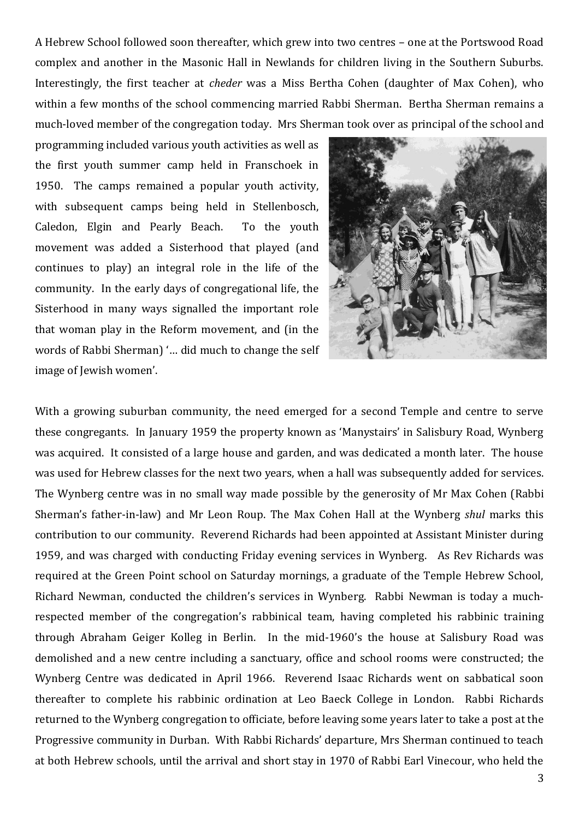A Hebrew School followed soon thereafter, which grew into two centres – one at the Portswood Road complex and another in the Masonic Hall in Newlands for children living in the Southern Suburbs. Interestingly, the first teacher at *cheder* was a Miss Bertha Cohen (daughter of Max Cohen), who within a few months of the school commencing married Rabbi Sherman. Bertha Sherman remains a much-loved member of the congregation today. Mrs Sherman took over as principal of the school and

programming included various youth activities as well as the first youth summer camp held in Franschoek in 1950. The camps remained a popular youth activity, with subsequent camps being held in Stellenbosch, Caledon, Elgin and Pearly Beach. To the youth movement was added a Sisterhood that played (and continues to play) an integral role in the life of the community. In the early days of congregational life, the Sisterhood in many ways signalled the important role that woman play in the Reform movement, and (in the words of Rabbi Sherman) '… did much to change the self image of Jewish women'.



With a growing suburban community, the need emerged for a second Temple and centre to serve these congregants. In January 1959 the property known as 'Manystairs' in Salisbury Road, Wynberg was acquired. It consisted of a large house and garden, and was dedicated a month later. The house was used for Hebrew classes for the next two years, when a hall was subsequently added for services. The Wynberg centre was in no small way made possible by the generosity of Mr Max Cohen (Rabbi Sherman's father-in-law) and Mr Leon Roup. The Max Cohen Hall at the Wynberg *shul* marks this contribution to our community. Reverend Richards had been appointed at Assistant Minister during 1959, and was charged with conducting Friday evening services in Wynberg. As Rev Richards was required at the Green Point school on Saturday mornings, a graduate of the Temple Hebrew School, Richard Newman, conducted the children's services in Wynberg. Rabbi Newman is today a muchrespected member of the congregation's rabbinical team, having completed his rabbinic training through Abraham Geiger Kolleg in Berlin. In the mid-1960's the house at Salisbury Road was demolished and a new centre including a sanctuary, office and school rooms were constructed; the Wynberg Centre was dedicated in April 1966. Reverend Isaac Richards went on sabbatical soon thereafter to complete his rabbinic ordination at Leo Baeck College in London. Rabbi Richards returned to the Wynberg congregation to officiate, before leaving some years later to take a post at the Progressive community in Durban. With Rabbi Richards' departure, Mrs Sherman continued to teach at both Hebrew schools, until the arrival and short stay in 1970 of Rabbi Earl Vinecour, who held the